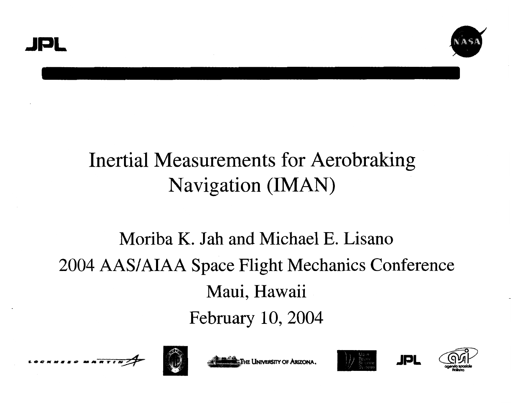

# Inertial Measurements for Aerobraking Navigation (IMAN)

# Moriba K. Jah and Michael E. Lisano 2004 AAS/AIAA Space Flight Mechanics Conference Maui, Hawaii February 10,2004





**ETHE UNIVERSITY OF ARIZONA.** 





ICIL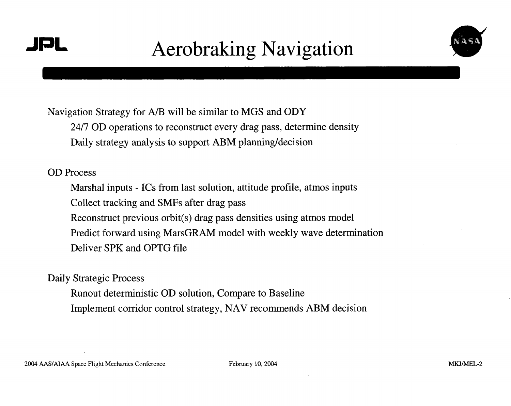### **JPL** Aerobraking Navigation



Navigation Strategy for A/B will be similar to MGS and ODY

24/7 OD operations to reconstruct every drag pass, determine density Daily strategy analysis to support ABM planning/decision

#### OD Process

Marshal inputs - ICs from last solution, attitude profile, atmos inputs Collect tracking and SMFs after drag pass Reconstruct previous orbit(s) drag pass densities using atmos model Predict forward using MarsGRAM model with weekly wave determination Deliver SPK and OPTG file

Daily Strategic Process

Runout deterministic OD solution, Compare to Baseline Implement corridor control strategy, NAV recornmends ABM decision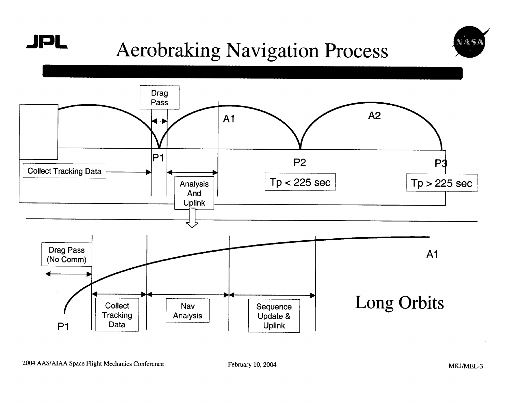



# **JPL** Aerobrakmg Navigation Process

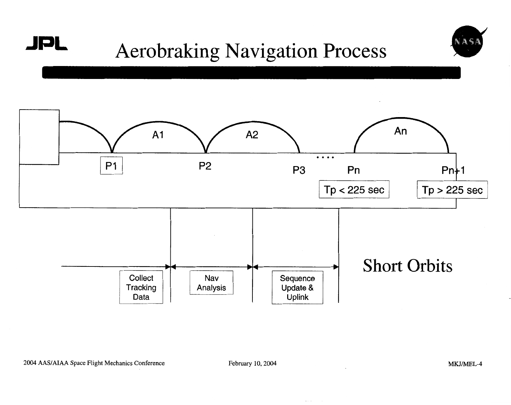



# **JPL** Aerobraking Navigation Process



February 10,2004 **MKJ/MEL-4** 

 $\sim$   $\sim$   $\sim$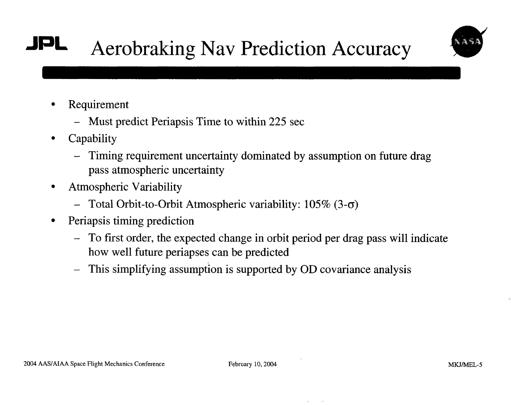# **JpL** Aerobraking Nav Prediction Accuracy



- Requirement
	- Must predict Periapsis Time to within 225 see
- **Capability** 
	- Timing requirement uncertainty dominated by assumption on future drag pass atmospheric uncertainty
- Atmospheric Variability  $\bullet$ 
	- Total Orbit-to-Orbit Atmospheric variability: 105% **(3-0)**
- Periapsis timing prediction  $\bullet$ 
	- To first order, the expected change in orbit period per drag pass will indicate how well future periapses can be predicted
	- This simplifying assumption is supported by OD covariance analysis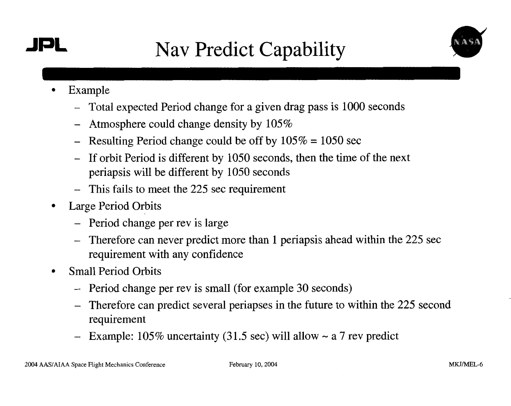### **JPL** Nav Predict Capability



- Example  $\bullet$ 
	- Total expected Period change for a given drag pass is 1000 seconds
	- Atmosphere could change density by  $105\%$
	- Resulting Period change could be off by  $105\% = 1050$  sec
	- If orbit Period is different by 1050 seconds, then the time of the next periapsis will be different by 1050 seconds
	- This fails to meet the 225 sec requirement
- Large Period Orbits  $\bullet$ 
	- Period change per rev is large
	- Therefore can never predict more than 1 periapsis ahead within the 225 sec requirement with any confidence
- Small Period Orbits  $\bullet$ 
	- Period change per rev is small (for example 30 seconds)
	- Therefore can predict several periapses in the future to within the 225 second requirement
	- Example:  $105\%$  uncertainty (31.5 sec) will allow  $\sim a \, 7$  rev predict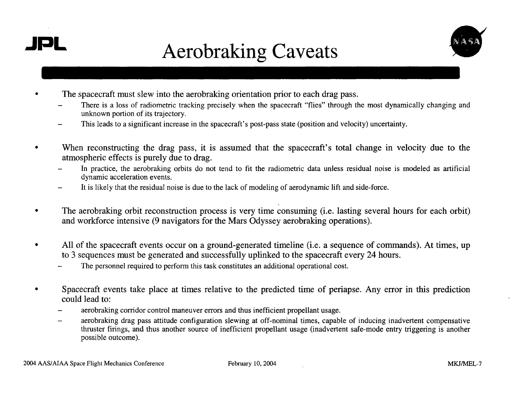

**e** 

# **JPL** Aerobraking Caveats



- - The spacecraft must slew into the aerobraking orientation prior to each drag pass.<br>There is a loss of radiometric tracking precisely when the spacecraft "flies" through the most dynamically changing and unknown portion of its trajectory.
	- This leads to a significant increase in the spacecraft's post-pass state (position and velocity) uncertainty.
- **e**  When reconstructing the drag pass, it is assumed that the spacecraft's total change in velocity due to the
	- atmospheric effects is purely due to drag.<br>- In practice, the aerobraking orbits do not In practice, the aerobraking orbits do not tend to fit the radiometric data unless residual noise is modeled as artificial dynamic acceleration events.
	- It is likely that the residual noise is due to the lack of modeling of aerodynamic lift and side-force. -
- **e**  The aerobraking orbit reconstruction process is very time consuming (i.e. lasting several hours for each orbit) and workforce intensive (9 navigators for the Mars Odyssey aerobraking operations).
- All of the spacecraft events occur on a ground-generated timeline (i.e. a sequence of commands). At times, up to 3 sequences must be generated and successfully uplinked to the spacecraft every 24 hours.<br>The personnel required to perform this task constitutes an additional operational cost.
	-
- Spacecraft events take place at times relative to the predicted time of periapse. Any error in this prediction could lead to:
	- aerobraking corridor control maneuver errors and thus inefficient propellant usage.
	- —<br> aerobraking drag pass attitude configuration slewing at off-nominal times, capable of inducing inadvertent compensative thruster firings, and thus another source of inefficient propellant usage (inadvertent safe-mode entry triggering is another possible outcome).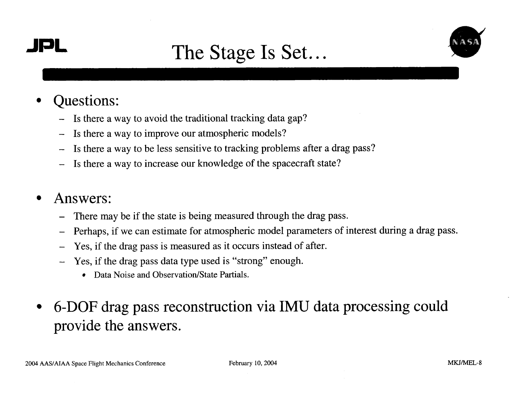

### **JPL** The Stage Is Set...



- Questions:
	- Is there a way to avoid the traditional tracking data gap?
	- Is there a way to improve our atmospheric models?
	- Is there a way to be less sensitive to tracking problems after a drag pass?
	- Is there a way to increase our knowledge of the spacecraft state?

### Answers:

- There may be if the state is being measured through the drag pass.
- Perhaps, if we can estimate for atmospheric model parameters of interest during a drag pass.
- Yes, if the drag pass is measured as it occurs instead of after.
- Yes, if the drag pass data type used is "strong" enough.
	- Data Noise and Observation/State Partials.
- 6-DOF drag pass reconstruction via IMU data processing could provide the answers.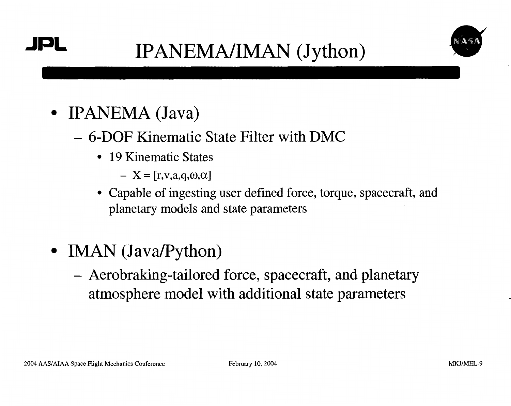

- **IPANEMA** (Java)
	- 6-DOF Kinematic State Filter with DMC
		- 19 Kinematic States
			- $-X = [r,v,a,q,\omega,\alpha]$
		- Capable of ingesting user defined force, torque, spacecraft, and planetary models and state parameters
- IMAN (Java/Python)
	- Aerobraking-tailored force, spacecraft, and planetary atmosphere model with additional state parameters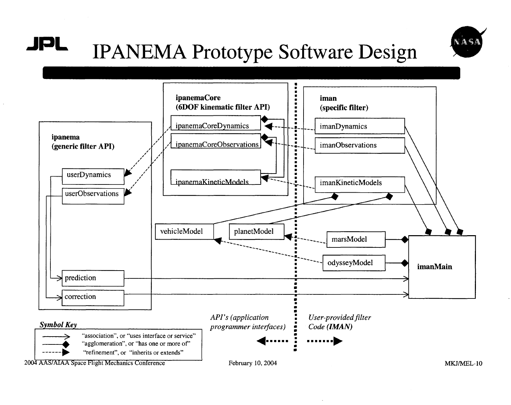

#### JPL **IPANEMA Prototype Software Design**

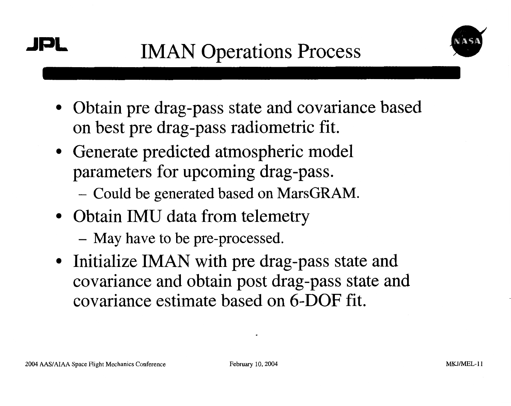<span id="page-10-0"></span>



- Obtain pre drag-pass state and covariance based on best pre drag-pass radiometric fit.
- Generate predicted atmospheric model parameters for upcoming drag-pass.
	- Could be generated based on MarsGRAM.
- Obtain IMU data from telemetry
	- May have to be pre-processed.
- Initialize IMAN with pre drag-pass state and covariance and obtain post drag-pass state and covariance estimate based on 6-DOF fit.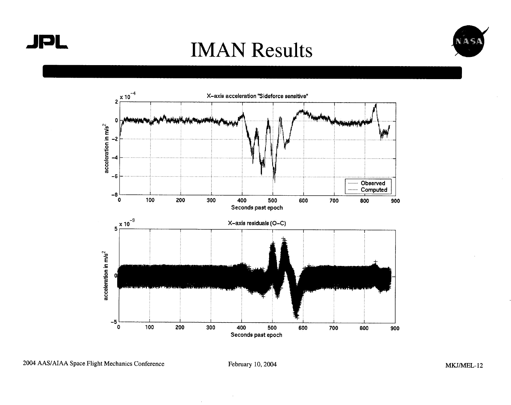





2004 **AASIAIAA** Space Flight Mechanics Conference February 10,2004 MKJ/MEL- **12**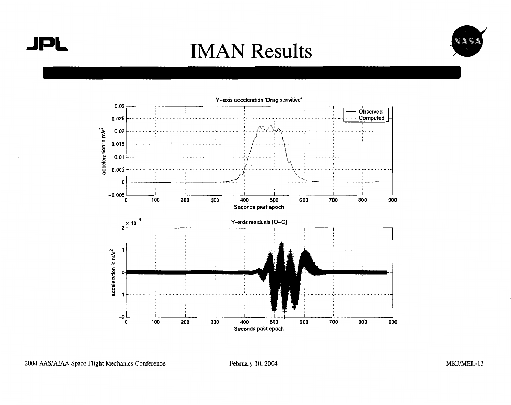**JPL** 

### **IMAN Results**





2004 AAS/AIAA Space Flight Mechanics Conference

February 10, 2004

MKJ/MEL-13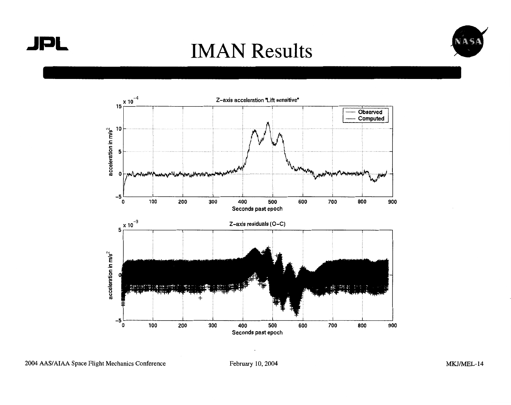

# **JPL** IMAN Results





**2004 AASIAIAA Space Flight Mechanics Conference February 10,2004** 

**MKJ/MEL-14**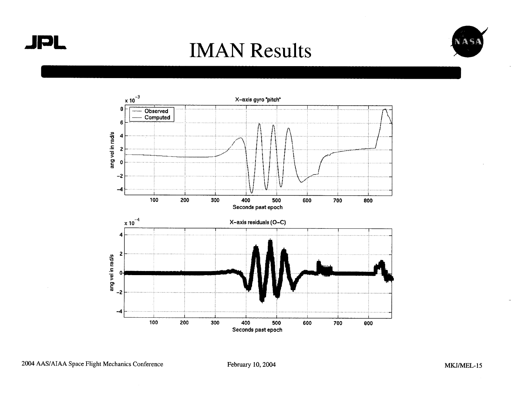





February 10, 2004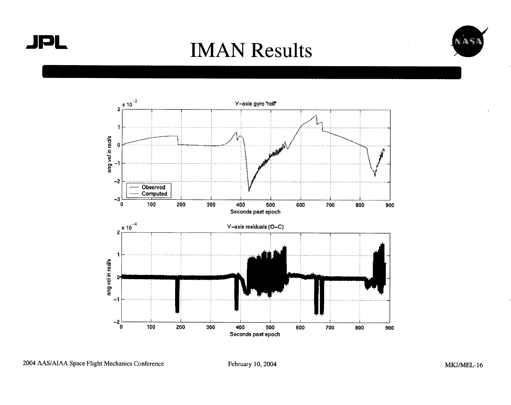





2004 AAS/AIAA Space Flight Mechanics Conference

February 10, 2004

MKJ/MEL-16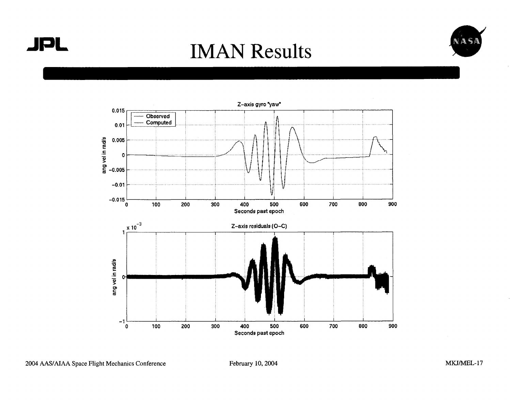



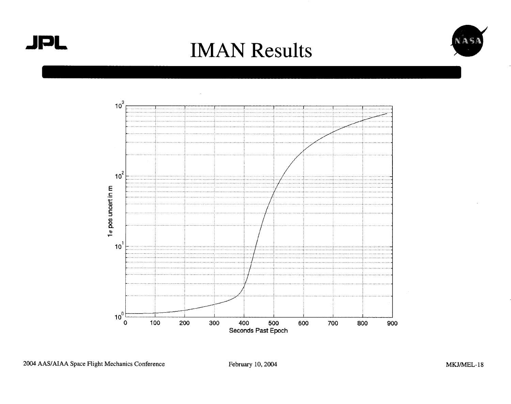





February 10, 2004